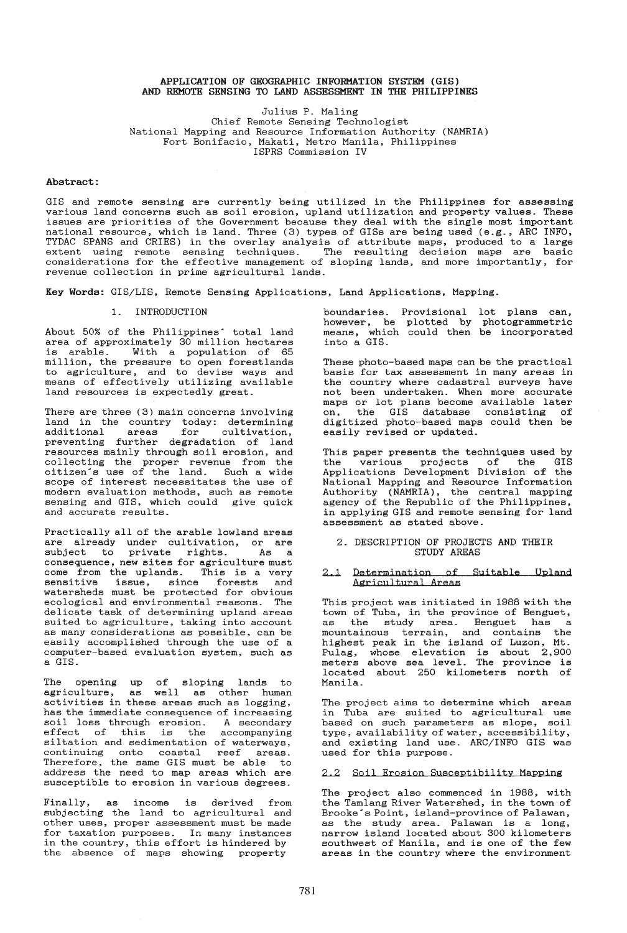### APPLICATION OF GEOGRAPHIC INFORMATION SYSTEM (GIS) AND REMOTE SENSING TO LAND ASSESSMENT IN THE PHILIPPINES

Julius P. Maling Chief Remote Sensing Technologist National Mapping and Resource Information Authority (NAMRIA) Fort Bonifacio, Makati, Metro Manila, Philippines ISPRS Commission IV

### Abstract:

GIS and remote sensing are currently being utilized in the Philippines for assessing various land concerns such as soil erosion, upland utilization and property values. These issues are priorities of the Government because they deal with the single most important national resource, which is land. Three (3) types of GISs are being used (e.g., ARC INFO, TYDAC SPANS and CRIES) in the overlay analysis of attribute maps, produced to a large extent using remote sensing techniques. The resulting decision maps are basic considerations for the effective management of sloping lands, and more importantly, for revenue collection in prime agricultural lands.

Key Words: GIS/LIS, Remote Sensing Applications, Land Applications, Mapping.

#### 1. INTRODUCTION

About 50% of the Philippines' total land area of approximately 30 million hectares is arable. With a population of 65 million, the pressure to open forestlands to agriculture, and to devise ways and means of effectively utilizing available land resources is expectedly great.

There are three (3) main concerns involving land in the country today: determining additional areas for cultivation, preventing further degradation of land resources mainly through soil erosion, and collecting the proper revenue from the citizen's use of the land. Such a wide scope of interest necessitates the use of modern evaluation methods, such as remote sensing and GIS, which could give quick and accurate results.

Practically all of the arable lowland areas are already under cultivation, or are subject to private rights. As a consequence, new sites for agriculture must<br>come from the uplands. This is a very<br>sensitive issue, since forests and  $sensitive$  issue, since forests watersheds must be protected for obvious ecological and environmental reasons. The delicate task of determining upland areas suited to agriculture, taking into account as many considerations as possible, can be easily accomplished through the use of a computer-based evaluation system, such as a GIS.

The opening up of sloping lands to agriculture, as well as other human activities in these areas such as logging, has the immediate consequence of increasing soil loss through erosion. A secondary soil loss enfough erosion. A secondary<br>effect of this is the accompanying siltation and sedimentation of waterways, continuing onto coastal reef areas. Therefore, the same GIS must be able to address the need to map areas which are susceptible to erosion in various degrees.

Finally, as income is derived from subjecting the land to agricultural and other uses, proper assessment must be made for taxation purposes. In many instances in the country, this effort is hindered by the absence of maps showing property

boundaries. however, be means, which into a GIS. Provisional lot plans can, plotted by photogrammetric could then be incorporated

These photo-based maps can be the practical basis for tax assessment in many areas in the country where cadastral surveys have not been undertaken. When more accurate maps or lot plans become available later on, the GIS database consisting of digitized photo-based maps could then be easily revised or updated.

This paper presents the techniques used by<br>the various projects of the GIS various projects of the Applications Development Division of the National Mapping and Resource Information Authority (NAMRIA), the central mapping agency of the Republic of the Philippines, in applying GIS and remote sensing for land assessment as stated above.

### 2. DESCRIPTION OF PROJECTS AND THEIR STUDY AREAS

### 2.1 Determination of Suitable Upland Agricultural Areas

This project was initiated in 1988 with the town of Tuba, in the province of Benguet, as the study area. Benguet has a mountainous terrain, and contains the highest peak in the island of Luzon, Mt. mightest peak in the island of hazon, he.<br>Pulag, whose elevation is about 2,900 meters above sea level. The province is located about 250 kilometers north of Manila.

The project aims to determine which areas in Tuba are suited to agricultural use based on such parameters as slope, soil type, availability of water, accessibility, and existing land use. ARC/INFO GIS was used for this purpose.

### 2.2 Soil Erosion Susceptibility Mapping

The project also commenced in 1988, with the Tamlang River Watershed, in the town of Brooke's Point, island-province of Palawan, Brooke's Point, island-province of Palawan, as the study area. Palawan is a long, narrow island located about 300 kilometers southwest of Manila, and is one of the few areas in the country where the environment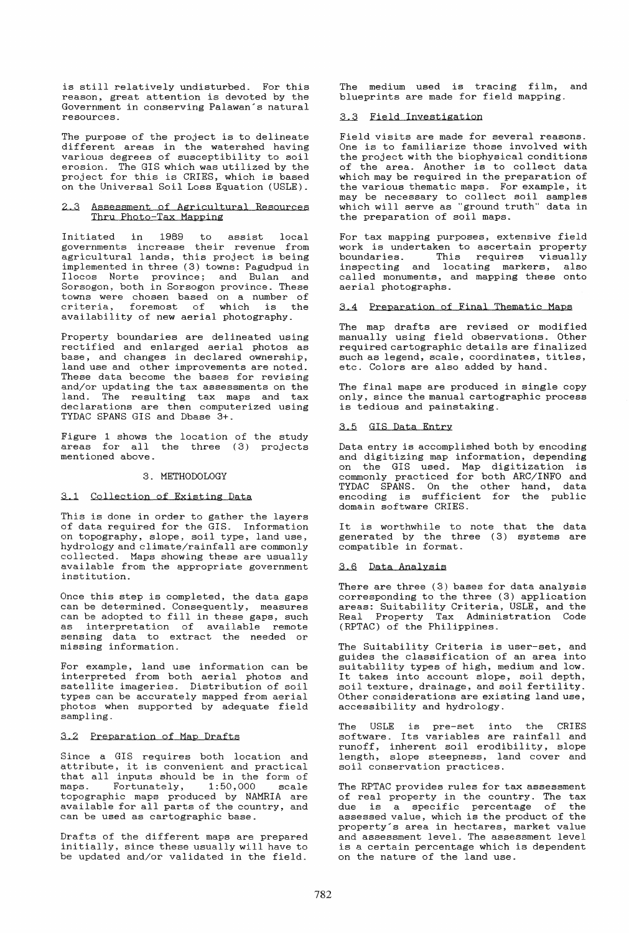is still relatively undisturbed. For this reason, great attention is devoted by the Government in conserving Palawan's natural resources.

The purpose of the project is to delineate different areas in the watershed having various degrees of susceptibility to soil erosion. The GIS which was utilized by the project for this is CRIES, which is based on the Universal Soil Loss Equation (USLE).

# 2.3 Assessment of Agricultural Resources Thru Photo-Tax Mapping

Initiated in 1989 to assist local governments increase their revenue from agricultural lands, this project is being implemented in three (3) towns: Pagudpud in Ilocos Norte province; and Bulan and Sorsogon, both in Sorsogon province. These towns were chosen based on a number of<br>criteria, foremost of which is the availability of new aerial photography.

Property boundaries are delineated using rectified and enlarged aerial photos as base, and changes in declared ownership, land use and other improvements are noted. These data become the bases for revising and/or updating the tax assessments on the and, or againing the san assessments on the declarations are then computerized using TYDAC SPANS GIS and Dbase 3+.

Figure 1 shows the location of the study areas for all the three (3) projects mentioned above.

### 3. METHODOLOGY

### 3.1 Collection of Existing Data

This is done in order to gather the layers<br>of data required for the GIS. Information of data required for the GIS. Information on topography, slope, soil type, land use, hydrology and climate/rainfall are commonly collected. Maps showing these are usually available from the appropriate government institution.

Once this step is completed, the data gaps can be determined. Consequently, measures can be determined. Consequently, measures<br>can be adopted to fill in these gaps, such as interpretation of available remote sensing data to extract the needed or missing information.

For example, land use information can be interpreted from both aer ial photos and satellite imageries. Distribution of soil types can be accurately mapped from aerial photos when supported by adequate field sampling.

# 3.2 Preparation of Map Drafts

Since a GIS requires both location and attribute, it is convenient and practical that all inputs should be in the form of<br>maps. Fortunately, 1:50,000 scale  $maps.$  Fortunately,  $1:50,000$ topographic maps produced by NAMRIA are available for all parts of the country, and can be used as cartographic base.

Drafts of the different maps are prepared initially, since these usually will have to be updated and/or validated in the field.

The medium used is tracing film, and blueprints are made for field mapping.

# 3.3 Field Investigation

Field visits are made for several reasons. One is to familiarize those involved with the project with the biophysical conditions of the area. Another is to collect data which may be required in the preparation of the various thematic maps. For example, it one various enomated maps. The champio, is which will serve as "ground truth" data in the preparation of soil maps.

For tax mapping purposes, extensive field For cax mapping purposes, executive field<br>work is undertaken to ascertain property boundaries. This requires visually inspecting and locating markers, also called monuments, and mapping these onto aerial photographs.

# 3.4 Preparation of Final Thematic Maps

The map drafts are revised or modified manually using field observations. Other required cartographic details are finalized such as legend, scale, coordinates, titles, etc. Colors are also added by hand.

The final maps are produced in single copy only, since the manual cartographic process is tedious and painstaking.

## 3.5 GIS Data Entry

Data entry is accomplished both by encoding and digitizing map information, depending on the GIS used. Map digitization is commonly practiced for both ARC/INFO and TYDAC SPANS. On the other hand, data encoding is sufficient for the public domain software CRIES.

It is worthwhile to note that the data generated by the three (3) systems are compatible in format.

### 3.6 Data Analysis

There are three (3) bases for data analysis corresponding to the three (3) application areas: Suitability Criteria, USLE, and the Real Property Tax Administration Code (RPTAC) of the Philippines.

The Suitability Criteria is user-set, and guides the classification of an area into suitability types of high, medium and low. suitability types of migh, medium and fow.<br>It takes into account slope, soil depth, soil texture, drainage, and soil fertility. Other considerations are existing land use, accessibility and hydrology.

The USLE is pre-set into the CRIES software. Its variables are rainfall and runoff, inherent soil erodibility, slope length, slope steepness, land cover and soil conservation practices.

The RPTAC provides rules for tax assessment of real property in the country. The tax<br>due is a specific percentage of the due is a specific percentage of assessed value, which is the product of the property's area in hectares, market value and assessment level. The assessment level is a certain percentage which is dependent on the nature of the land use.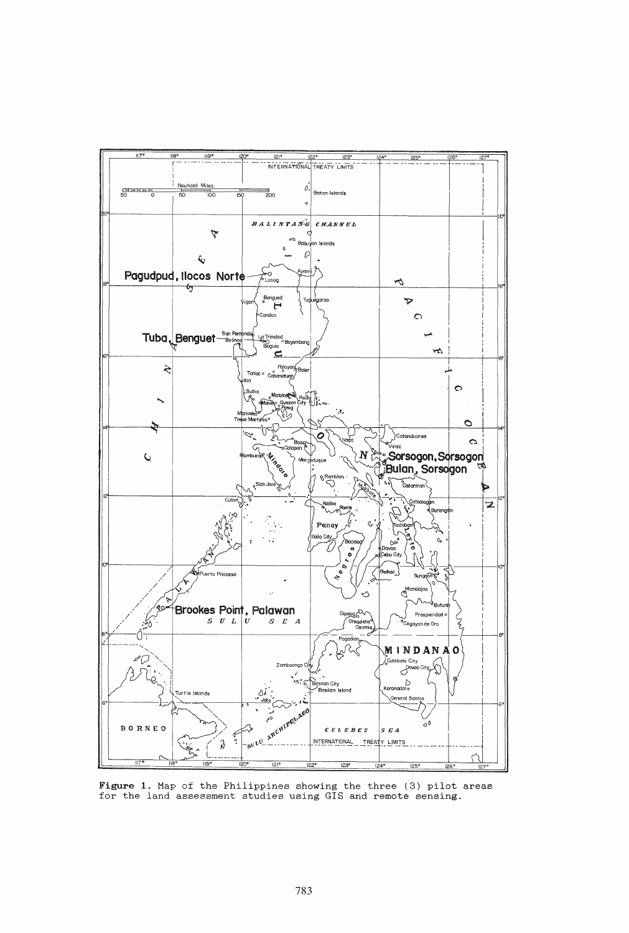

Figure 1. Map of the Philippines showing the three (3) pilot areas for the land assessment studies using GIS and remote sensing.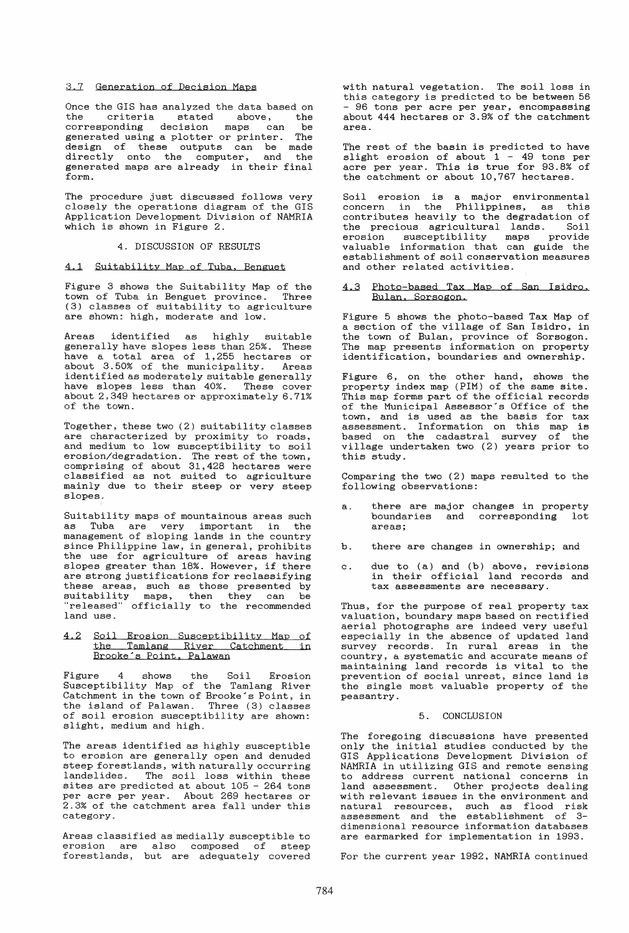### 3.7 Generation of Decision Maps

Once the GIS has analyzed the data based on<br>the criteria stated above, the stated above, the<br>ecision maps can be corresponding decision maps can be<br>separated using a plotter or printer. The generated using a plotter or printer. design of these outputs can be made<br>directly onto the computer, and the directly onto the computer, and the generated maps are already in their final form.

The procedure just discussed follows very closely the operations diagram of the GIS Application Development Division of NAMRIA which is shown in Figure 2.

### 4. DISCUSSION OF RESULTS

# 4.1 Suitability Map of Tuba, Benguet

Figure 3 shows the Suitability Map of the town of Tuba in Benguet province. Three (3) classes of suitability to agriculture are shown: high, moderate and low.

Areas identified as highly suitable generally have slopes less than 25%. These have a total area of 1,255 hectares or about 3.50% of the municipality. Areas identified as moderately suitable generally have slopes less than 40%. These cover about 2.349 hectares or approximately 6.71% of the town.

Together, these two (2) suitability classes are characterized by proximity to roads, and medium to low susceptibility to soil erosion/degradation. The rest of the town, comprising of about 31,428 hectares were classified as not suited to agriculture mainly due to their steep or very steep slopes.

Suitability maps of mountainous areas such as Tuba are very important in the management of sloping lands in the country since Philippine law, in general, prohibits the use for agriculture of areas having slopes greater than 18%. However, if there are strong justifications for reclassifying these areas, such as those presented by suitability maps, then they can be "released" officially to the recommended land use.

# 4.2 Soil Erosion Susceptibility Map of the Tamlang River Catchment in Brooke's Point, Palawan

Figure 4 shows the Soil Erosion Susceptibility Map of the Tamlang River Catchment in the town of Brooke's Point, in the island of Palawan. Three (3) classes of soil erosion susceptibility are shown: slight, medium and high.

The areas identified as highly susceptible to erosion are generally open and denuded steep forestlands, with naturally occurring Ecoup resolutions, with macarding coomfining sites are predicted at about 105 - 264 tons per acre per year. About 269 hectares or 2.3% of the catchment area fall under this category.

Areas classified as medially susceptible to erosion are also composed of steep forestlands, but are adequately covered with natural vegetation. The soil loss in this category is predicted to be between 56 - 96 tons per acre per year, encompassing about 444 hectares or 3.9% of the catchment area.

The rest of the basin is predicted to have slight erosion of about 1 - 49 tons per acre per year. This is true for 93.8% of the catchment or about 10,767 hectares.

Soil erosion is a major environmental concern in the Philippines, as this contributes heavily to the degradation of<br>the precious agricultural lands. Soil the precious agricultural lands. erosion susceptibility maps provide valuable information that can guide the establishment of soil conservation measures and other related activities.

### 4.3 Photo-based Tax Map of San Isidro. Bulan. Sorsogon

Figure 5 shows the photo-based Tax Map of a section of the village of San Isidro, in the town of Bulan, province of Sorsogon. The map presents information on property identification, boundaries and ownership.

Figure 6, on the other hand. shows the property index map (PIM) of the same site. This map forms part of the official records of the Municipal Assessor's Office of the town, and is used as the basis for tax assessment. Information on this map is based on the cadastral survey of the village undertaken two (2) years prior to this study.

Comparing the two (2) maps resulted to the following observations:

- there are major changes in property boundaries and corresponding lot areas;
- b. there are changes in ownership; and
- c. due to (a) and (b) above, revisions in their official land records and tax assessments are necessary.

Thus, for the purpose of real property tax valuation, boundary maps based on rectified aerial photographs are indeed very useful especially in the absence of updated land survey records. In rural areas in the country, a systematic and accurate means of maintaining land records is vital to the prevention of social unrest, since land is the single most valuable property of the peasantry.

### 5. CONCLUSION

The foregoing discussions have presented only the initial studies conducted by the GIS Applications Development Division of NAMRIA in utilizing GIS and remote sensing to address current national concerns in land assessment. Other projects dealing with relevant issues in the environment and natural resources, such as flood risk assessment and the establishment of 3 dimensional resource information databases are earmarked for implementation in 1993.

For the current year 1992, NAMRIA continued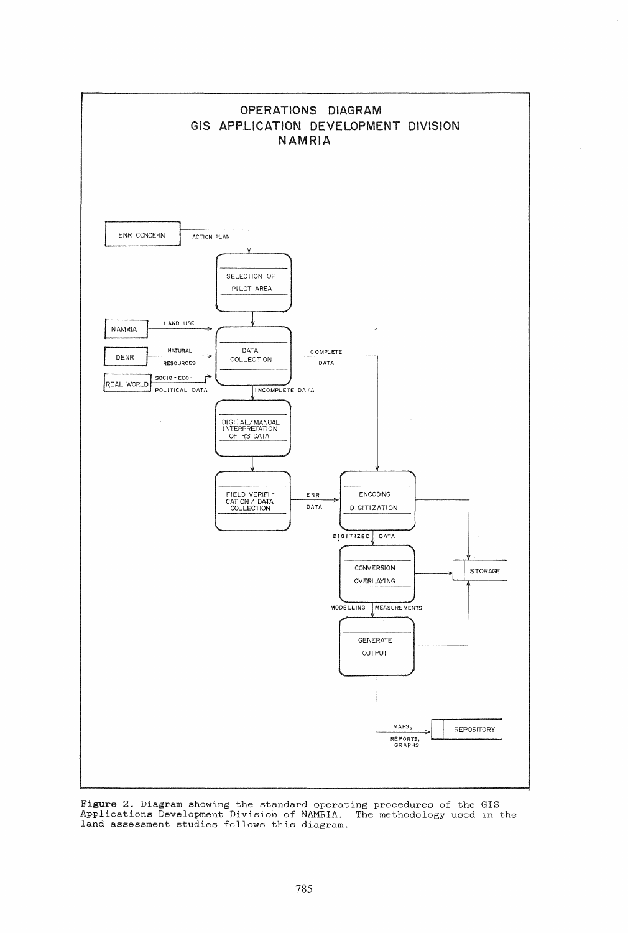

Figure 2. Diagram showing the standard operating procedures of the GIS Applications Development Division of NAMRIA. The methodology used in the land assessment studies follows this diagram.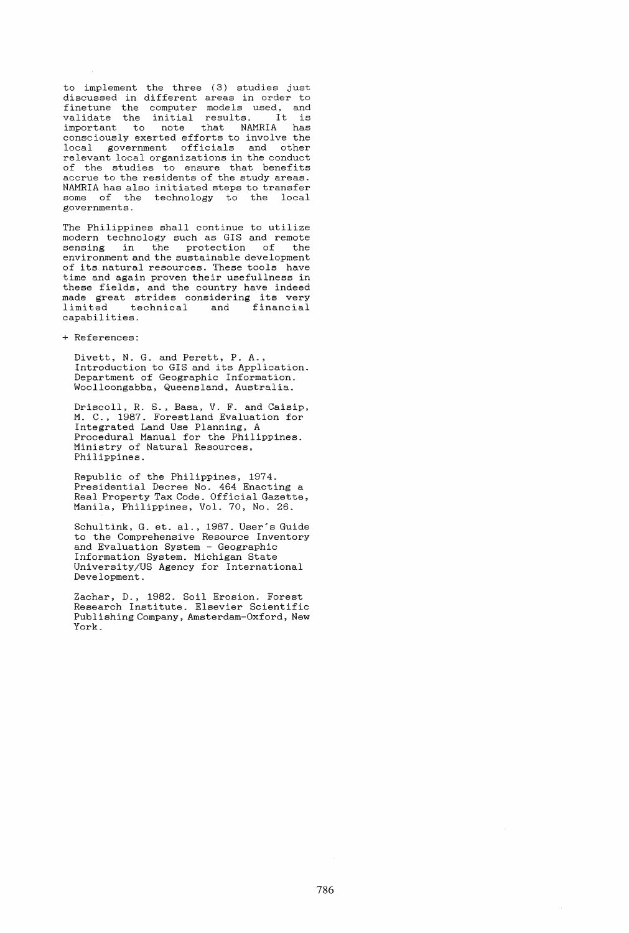to implement the three (3) studies just discussed in different areas in order to finetune the computer models used, and validate the initial results. It is important to note that NAMRIA has consciously exerted efforts to involve the local government officials and other relevant local organizations in the conduct of the studies to ensure that benefits accrue to the residents of the study areas. NAMRIA has also initiated steps to transfer some of the technology to the local governments.

The Philippines shall continue to utilize modern technology such as GIS and remote sensing in the protection of the environment and the sustainable development of its. natural resources. These tools have time and again proven their usefullness in these fields, and the country have indeed made great strides considering its very<br>limited technical and financial and financial capabilities.

+ References:

Divett, N. G. and Perett, P. A., Introduction to GIS and its Application. Department of Geographic Information. Woolloongabba, Queensland, Australia.

Driscoll, R. S., Basa, V. F. and Caisip, M. C., 1987. Forestland Evaluation for Integrated Land Use Planning, A Procedural Manual for the Philippines. Ministry of Natural Resources, Philippines.

Republic of the Philippines, 1974. Presidential Decree No. 464 Enacting a Real Property Tax Code. Official Gazette, Manila, Philippines, Vol. 70, No. 26.

Schultink, G. et. al., 1987. User's Guide to the Comprehensive Resource Inventory and Evaluation System - Geographic Information System. Michigan State University/US Agency for International Development.

Zachar, D., 1982. Soil Erosion. Forest Research Institute. Elsevier Scientific Publishing Company, Amsterdam-Oxford, New York.